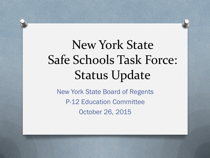# New York State Safe Schools Task Force: Status Update

New York State Board of Regents P-12 Education Committee October 26, 2015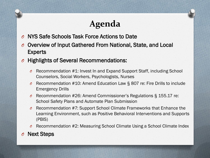## **Agenda**

- *O* NYS Safe Schools Task Force Actions to Date
- *O* Overview of Input Gathered From National, State, and Local Experts
- *O* Highlights of Several Recommendations:
	- *O* Recommendation #1: Invest In and Expand Support Staff, including School Counselors, Social Workers, Psychologists, Nurses
	- *O* Recommendation #10: Amend Education Law § 807 re: Fire Drills to include Emergency Drills
	- *O* Recommendation #26: Amend Commissioner's Regulations § 155.17 re: School Safety Plans and Automate Plan Submission
	- *O* Recommendation #7: Support School Climate Frameworks that Enhance the Learning Environment, such as Positive Behavioral Interventions and Supports (PBIS)
	- *O* Recommendation #2: Measuring School Climate Using a School Climate Index
- **Next Steps**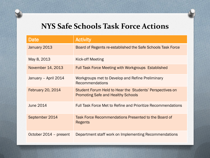### **NYS Safe Schools Task Force Actions**

| Date                     | <b>Activity</b>                                                                                       |
|--------------------------|-------------------------------------------------------------------------------------------------------|
| January 2013             | Board of Regents re-established the Safe Schools Task Force                                           |
| May 8, 2013              | Kick-off Meeting                                                                                      |
| November 14, 2013        | <b>Full Task Force Meeting with Workgroups Established</b>                                            |
| January - April 2014     | Workgroups met to Develop and Refine Preliminary<br><b>Recommendations</b>                            |
| <b>February 20, 2014</b> | Student Forum Held to Hear the Students' Perspectives on<br><b>Promoting Safe and Healthy Schools</b> |
| <b>June 2014</b>         | <b>Full Task Force Met to Refine and Prioritize Recommendations</b>                                   |
| September 2014           | Task Force Recommendations Presented to the Board of<br><b>Regents</b>                                |
| October 2014 - present   | Department staff work on Implementing Recommendations                                                 |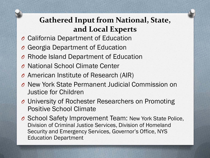### **Gathered Input from National, State, and Local Experts**

- *O* California Department of Education
- *O* Georgia Department of Education
- *O* Rhode Island Department of Education
- *O* National School Climate Center
- *O* American Institute of Research (AIR)
- *O* New York State Permanent Judicial Commission on Justice for Children
- *O* University of Rochester Researchers on Promoting Positive School Climate
- *O* School Safety Improvement Team: New York State Police, Division of Criminal Justice Services, Division of Homeland Security and Emergency Services, Governor's Office, NYS Education Department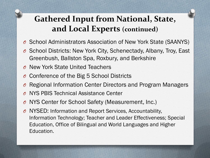### **Gathered Input from National, State, and Local Experts (continued)**

- *O* School Administrators Association of New York State (SAANYS)
- *O* School Districts: New York City, Schenectady, Albany, Troy, East Greenbush, Ballston Spa, Roxbury, and Berkshire
- *O* New York State United Teachers
- *O* Conference of the Big 5 School Districts
- *O* Regional Information Center Directors and Program Managers
- *O* NYS PBIS Technical Assistance Center
- *O* NYS Center for School Safety (Measurement, Inc.)
- *O* NYSED: Information and Report Services, Accountability, Information Technology; Teacher and Leader Effectiveness; Special Education, Office of Bilingual and World Languages and Higher Education.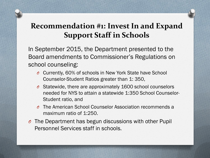### **Recommendation #1: Invest In and Expand Support Staff in Schools**

In September 2015, the Department presented to the Board amendments to Commissioner's Regulations on school counseling:

- *O* Currently, 60% of schools in New York State have School Counselor-Student Ratios greater than 1: 350,
- *O* Statewide, there are approximately 1600 school counselors needed for NYS to attain a statewide 1:350 School Counselor-Student ratio, and
- *O* The American School Counselor Association recommends a maximum ratio of 1:250.
- *O* The Department has begun discussions with other Pupil Personnel Services staff in schools.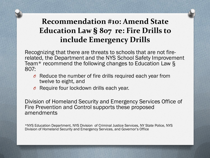### **Recommendation #10: Amend State Education Law § 807 re: Fire Drills to include Emergency Drills**

Recognizing that there are threats to schools that are not firerelated, the Department and the NYS School Safety Improvement Team\* recommend the following changes to Education Law § 807:

- *O* Reduce the number of fire drills required each year from twelve to eight, and
- *O* Require four lockdown drills each year.

Division of Homeland Security and Emergency Services Office of Fire Prevention and Control supports these proposed amendments

\*NYS Education Department, NYS Division of Criminal Justice Services, NY State Police, NYS Division of Homeland Security and Emergency Services, and Governor's Office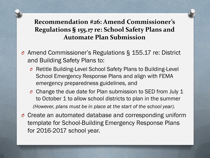#### **Recommendation #26: Amend Commissioner's Regulations § 155.17 re: School Safety Plans and Automate Plan Submission**

- *O* Amend Commissioner's Regulations § 155.17 re: District and Building Safety Plans to:
	- *O* Retitle Building-Level School Safety Plans to Building-Level School Emergency Response Plans and align with FEMA emergency preparedness guidelines, and
	- *O* Change the due date for Plan submission to SED from July 1 to October 1 to allow school districts to plan in the summer *(However, plans must be in place at the start of the school year).*
- *O* Create an automated database and corresponding uniform template for School-Building Emergency Response Plans for 2016-2017 school year.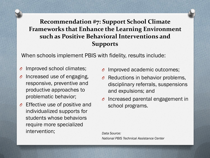#### **Recommendation #7: Support School Climate Frameworks that Enhance the Learning Environment such as Positive Behavioral Interventions and Supports**

When schools implement PBIS with fidelity, results include:

- *O* Improved school climates;
- *O* Increased use of engaging, responsive, preventive and productive approaches to problematic behavior;
- *O* Effective use of positive and individualized supports for students whose behaviors require more specialized intervention;
- *O* Improved academic outcomes;
- *O* Reductions in behavior problems, disciplinary referrals, suspensions and expulsions; and
- *O* Increased parental engagement in school programs.

*Data Source: National PBIS Technical Assistance Center*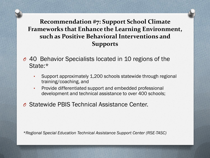#### **Recommendation #7: Support School Climate Frameworks that Enhance the Learning Environment, such as Positive Behavioral Interventions and Supports**

- *O* 40 Behavior Specialists located in 10 regions of the State:\*
	- Support approximately 1,200 schools statewide through regional training/coaching, and
	- Provide differentiated support and embedded professional development and technical assistance to over 400 schools;
- *O* Statewide PBIS Technical Assistance Center.

*\*Regional Special Education Technical Assistance Support Center (RSE-TASC)*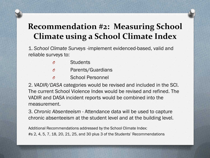1. *School Climate Surveys* -implement evidenced-based, valid and reliable surveys to:

- *O* Students
- *O* Parents/Guardians
- *O* School Personnel

2. *VADIR/DASA* categories would be revised and included in the SCI. The current School Violence Index would be revised and refined. The VADIR and DASA incident reports would be combined into the measurement.

3. *Chronic Absenteeism* - Attendance data will be used to capture chronic absenteeism at the student level and at the building level.

Additional Recommendations addressed by the School Climate Index: #s 2, 4, 5, 7, 18, 20, 21, 25, and 30 plus 3 of the Students' Recommendations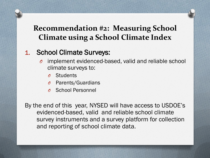#### 1. School Climate Surveys:

- implement evidenced-based, valid and reliable school climate surveys to:
	- *O* Students
	- Parents/Guardians
	- *O* School Personnel

By the end of this year, NYSED will have access to USDOE's evidenced-based, valid and reliable school climate survey instruments and a survey platform for collection and reporting of school climate data.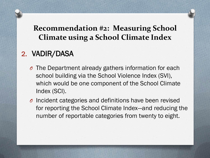#### 2. VADIR/DASA

- *O* The Department already gathers information for each school building via the School Violence Index (SVI), which would be one component of the School Climate Index (SCI).
- *O* Incident categories and definitions have been revised for reporting the School Climate Index—and reducing the number of reportable categories from twenty to eight.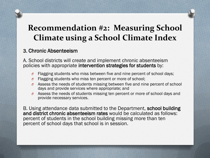#### 3. Chronic Absenteeism

A. School districts will create and implement chronic absenteeism policies with appropriate intervention strategies for students by:

- *O* Flagging students who miss between five and nine percent of school days;
- *O* Flagging students who miss ten percent or more of school;
- *O* Assess the needs of students missing between five and nine percent of school days and provide services where appropriate; and
- *O* Assess the needs of students missing ten percent or more of school days and provide necessary services.

B. Using attendance data submitted to the Department, school building and district chronic absenteeism rates would be calculated as follows: percent of students in the school building missing more than ten percent of school days that school is in session.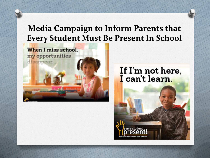### **Media Campaign to Inform Parents that Every Student Must Be Present In School**



#### If I'm not here, I can't learn.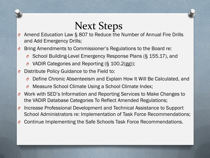# Next Steps

- *O* Amend Education Law § 807 to Reduce the Number of Annual Fire Drills and Add Emergency Drills;
- *O* Bring Amendments to Commissioner's Regulations to the Board re:
	- *O* School Building-Level Emergency Response Plans (§ 155.17), and
	- *O* VADIR Categories and Reporting (§ 100.2(gg));
- Distribute Policy Guidance to the Field to:
	- *O* Define Chronic Absenteeism and Explain How It Will Be Calculated, and
	- *O* Measure School Climate Using a School Climate Index;
- *O* Work with SED's Information and Reporting Services to Make Changes to the VADIR Database Categories To Reflect Amended Regulations;
- *O* Increase Professional Development and Technical Assistance to Support School Administrators re: Implementation of Task Force Recommendations;
- *O* Continue Implementing the Safe Schools Task Force Recommendations.